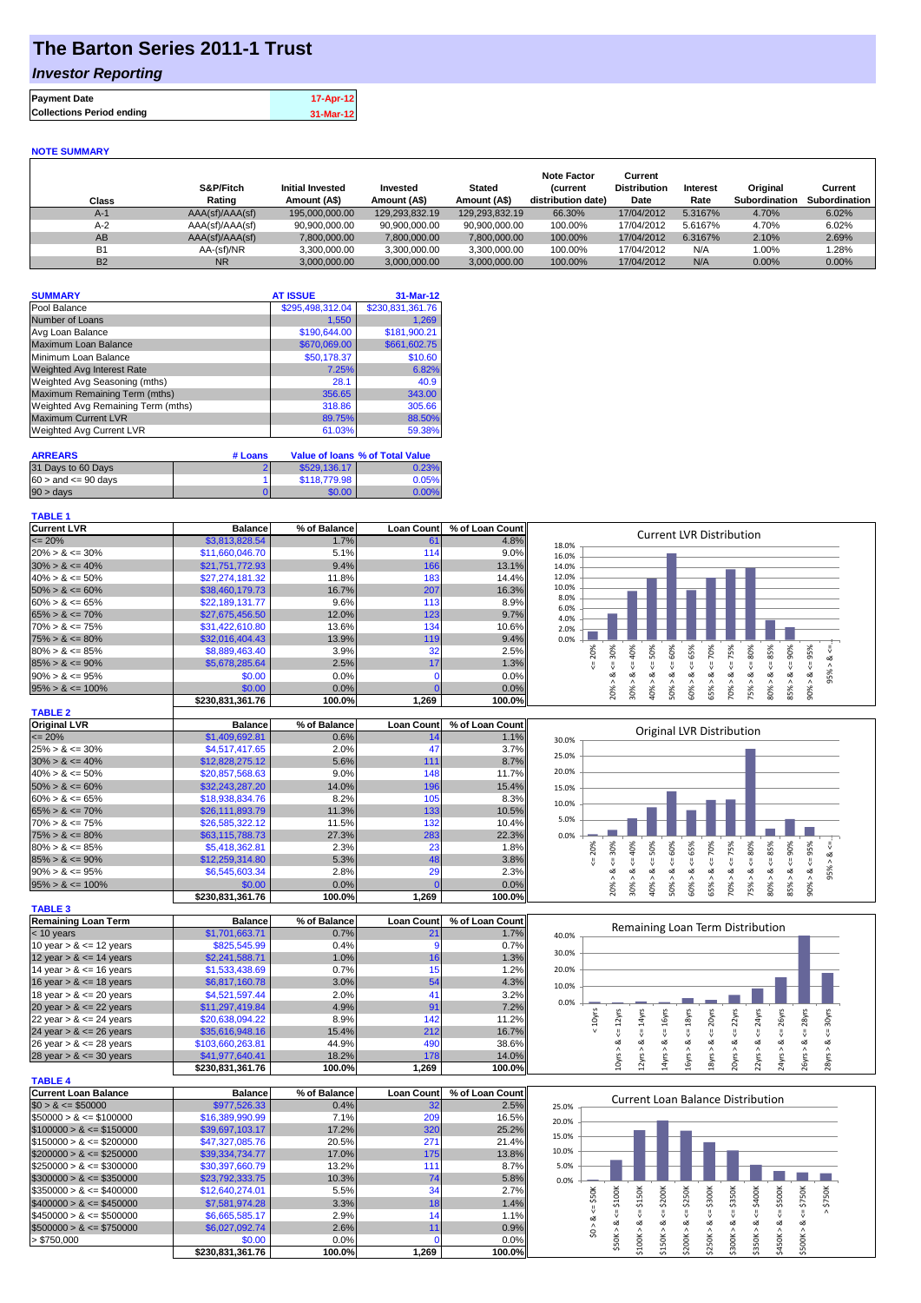## **The Barton Series 2011-1 Trust**

### *Investor Reporting*

| <b>Payment Date</b>              | 17-Apr-12 |
|----------------------------------|-----------|
| <b>Collections Period ending</b> | 31-Mar-12 |
|                                  |           |

#### **NOTE SUMMARY**

| Class     | S&P/Fitch<br>Rating | <b>Initial Invested</b><br>Amount (A\$) | Invested<br>Amount (A\$) | <b>Stated</b><br>Amount (A\$) | <b>Note Factor</b><br><b>Current</b><br>distribution date) | Current<br><b>Distribution</b><br>Date | Interest<br>Rate | Original<br>Subordination | Current<br>Subordination |
|-----------|---------------------|-----------------------------------------|--------------------------|-------------------------------|------------------------------------------------------------|----------------------------------------|------------------|---------------------------|--------------------------|
| $A-1$     | AAA(sf)/AAA(sf)     | 195,000,000.00                          | 129.293.832.19           | 129.293.832.19                | 66.30%                                                     | 17/04/2012                             | 5.3167%          | 4.70%                     | 6.02%                    |
| $A-2$     | AAA(sf)/AAA(sf)     | 90.900.000.00                           | 90.900.000.00            | 90.900.000.00                 | 100.00%                                                    | 17/04/2012                             | 5.6167%          | 4.70%                     | 6.02%                    |
| AB        | AAA(sf)/AAA(sf)     | 7,800,000.00                            | 7,800,000.00             | 7,800,000.00                  | 100.00%                                                    | 17/04/2012                             | 6.3167%          | 2.10%                     | 2.69%                    |
| <b>B1</b> | AA-(sf)/NR          | 3,300,000.00                            | 3.300.000.00             | 3.300.000.00                  | 100.00%                                                    | 17/04/2012                             | N/A              | $0.00\%$                  | 1.28%                    |
| <b>B2</b> | <b>NR</b>           | 3.000.000.00                            | 3.000.000.00             | 3.000.000.00                  | 100.00%                                                    | 17/04/2012                             | N/A              | $0.00\%$                  | $0.00\%$                 |

| <b>SUMMARY</b>                     | <b>AT ISSUE</b>  | 31-Mar-12        |
|------------------------------------|------------------|------------------|
| Pool Balance                       | \$295,498,312.04 | \$230,831,361.76 |
| Number of Loans                    | 1,550            | 1,269            |
| Avg Loan Balance                   | \$190,644.00     | \$181,900.21     |
| Maximum Loan Balance               | \$670,069.00     | \$661,602.75     |
| Minimum Loan Balance               | \$50,178.37      | \$10.60          |
| <b>Weighted Avg Interest Rate</b>  | 7.25%            | 6.82%            |
| Weighted Avg Seasoning (mths)      | 28.1             | 40.9             |
| Maximum Remaining Term (mths)      | 356.65           | 343.00           |
| Weighted Avg Remaining Term (mths) | 318.86           | 305.66           |
| <b>Maximum Current LVR</b>         | 89.75%           | 88.50%           |
| Weighted Avg Current LVR           | 61.03%           | 59.38%           |

| <b>ARREARS</b>            | # Loans |              | Value of Ioans % of Total Value |
|---------------------------|---------|--------------|---------------------------------|
| 31 Days to 60 Days        |         | \$529,136.17 | 0.23%                           |
| $60 >$ and $\leq 90$ davs |         | \$118,779.98 | 0.05%                           |
| $90 > \text{days}$        |         | \$0.00       | 0.00%                           |

#### **TABLE 1**

| <b>Current LVR</b>   | <b>Balance</b>   | % of Balance | <b>Loan Count</b> | % of Loan Count | <b>Current LVR Distribution</b>                                        |
|----------------------|------------------|--------------|-------------------|-----------------|------------------------------------------------------------------------|
| $\leq$ 20%           | \$3,813,828.54   | 1.7%         | 61                | 4.8%            | 18.0%                                                                  |
| $20\% > 8 \le 30\%$  | \$11,660,046.70  | 5.1%         | 114               | 9.0%            | 16.0%                                                                  |
| $30\% > 8 \le 40\%$  | \$21,751,772.93  | 9.4%         | 166               | 13.1%           | 14.0%                                                                  |
| $40\% > 8 \le 50\%$  | \$27,274,181.32  | 11.8%        | 183               | 14.4%           | 12.0%                                                                  |
| $50\% > 8 \le 60\%$  | \$38,460,179.73  | 16.7%        | 207               | 16.3%           | 10.0%                                                                  |
| $60\% > 8 \le 65\%$  | \$22,189,131.77  | 9.6%         | 113               | 8.9%            | 8.0%<br>6.0%                                                           |
| $65\% > 8 \le 70\%$  | \$27,675,456.50  | 12.0%        | 123               | 9.7%            | 4.0%                                                                   |
| $70\% > 8 \le 75\%$  | \$31,422,610.80  | 13.6%        | 134               | $10.6\%$        | 2.0%                                                                   |
| $75\% > 8 \le 80\%$  | \$32,016,404.43  | 13.9%        | 119               | 9.4%            | 0.0%                                                                   |
| $80\% > 8 \le 85\%$  | \$8,889,463,40   | 3.9%         | 32                | 2.5%            | 20%<br>50%<br>70%<br>℅<br>င္တ<br>₫<br>Š.<br>Ŕ.<br>ū٦<br>ဝ္တ<br>இ<br>Ř, |
| $85\% > 8 \le 90\%$  | \$5,678,285.64   | 2.5%         | 17                | 1.3%            |                                                                        |
| $90\% > 8 \le 95\%$  | \$0.00           | 0.0%         |                   | 0.0%            | οZ<br>οZ<br>ക                                                          |
| $95\% > 8 \le 100\%$ | \$0.00           | $0.0\%$      |                   | 0.0%            | 20%<br>50%<br>60%<br>65%<br>30%<br>ఠ<br>္ဘ<br>85%<br>80%<br>కి<br>కి   |
|                      | \$230,831,361.76 | 100.0%       | 1,269             | 100.0%          | $\overline{ }$<br>$\sigma$                                             |
| <b>TABLE 2</b>       |                  |              |                   |                 |                                                                        |

| <b>Original LVR</b>  | <b>Balance</b>   | % of Balance | <b>Loan Count</b> | % of Loan Count |       |          |   |   |     |         | Original LVR Distribution |    |          |    |   |          |  |
|----------------------|------------------|--------------|-------------------|-----------------|-------|----------|---|---|-----|---------|---------------------------|----|----------|----|---|----------|--|
| $\leq$ 20%           | \$1,409,692.81   | $0.6\%$      |                   | 1.1%            | 30.0% |          |   |   |     |         |                           |    |          |    |   |          |  |
| $25\% > 8 \le 30\%$  | \$4,517,417.65   | 2.0%         | 47                | 3.7%            | 25.0% |          |   |   |     |         |                           |    |          |    |   |          |  |
| $30\% > 8 \le 40\%$  | \$12,828,275.12  | 5.6%         | 111               | 8.7%            |       |          |   |   |     |         |                           |    |          |    |   |          |  |
| $40\% > 8 \le 50\%$  | \$20,857,568.63  | 9.0%         | 148               | 11.7%           | 20.0% |          |   |   |     |         |                           |    |          |    |   |          |  |
| $50\% > 8 \le 60\%$  | \$32,243,287,20  | 14.0%        | 196               | 15.4%           | 15.0% |          |   |   |     |         |                           |    |          |    |   |          |  |
| $60\% > 8 \le 65\%$  | \$18,938,834.76  | 8.2%         | 105               | 8.3%            | 10.0% |          |   |   |     |         |                           |    |          |    |   |          |  |
| $65\% > 8 \le 70\%$  | \$26,111,893.79  | 11.3%        | 133               | 10.5%           |       |          |   |   |     |         |                           |    |          |    |   |          |  |
| $70\% > 8 \le 75\%$  | \$26,585,322.12  | 11.5%        | 132               | 10.4%           | 5.0%  |          |   |   |     |         |                           |    |          |    |   |          |  |
| $75\% > 8 \le 80\%$  | \$63,115,788,73  | 27.3%        | 283               | 22.3%           | 0.0%  |          |   |   |     |         |                           |    |          |    |   |          |  |
| $80\% > 8 \le 85\%$  | \$5,418,362.81   | 2.3%         | 23                | 1.8%            |       | 20%<br>ò | Š | Ò | 50% | ℅<br>Ĥ. | 70%                       | Ū. | S.<br>55 | இ  | ℅ |          |  |
| $85\% > 8 \le 90\%$  | \$12,259,314.80  | 5.3%         | 48                | 3.8%            |       |          |   |   |     |         |                           |    |          |    |   |          |  |
| $90\% > 8 \le 95\%$  | \$6,545,603.34   | 2.8%         | 29                | 2.3%            |       |          |   |   | ∞   |         |                           |    |          |    |   | $\sigma$ |  |
| $95\% > 8 \le 100\%$ | \$0.00           | $0.0\%$      |                   | 0.0%            |       | 20%      |   | ŏ | 50% | $^{86}$ | 65%                       | ఠ  |          |    | Õ |          |  |
|                      | \$230.831.361.76 | 100.0%       | 1,269             | 100.0%          |       |          | š |   |     | ιō.     |                           |    | 80<br>Ř  | 55 |   |          |  |
|                      |                  |              |                   |                 |       |          |   |   |     |         |                           |    |          |    |   |          |  |

| <b>TABLE 3</b>             |                  |              |                   |                 |
|----------------------------|------------------|--------------|-------------------|-----------------|
| <b>Remaining Loan Term</b> | <b>Balance</b>   | % of Balance | <b>Loan Count</b> | % of Loan Count |
| $<$ 10 years               | \$1,701,663.71   | 0.7%         | 21                | 1.7%            |
| 10 year $> 8 \le 12$ years | \$825,545.99     | 0.4%         | 9                 | 0.7%            |
| 12 year $> 8 \le 14$ years | \$2,241,588.71   | 1.0%         | 16                | 1.3%            |
| 14 year $> 8 \le 16$ years | \$1,533,438.69   | 0.7%         | 15                | 1.2%            |
| 16 year $> 8 \le 18$ years | \$6,817,160.78   | 3.0%         | 54                | 4.3%            |
| 18 year $> 8 \le 20$ years | \$4,521,597.44   | 2.0%         | 41                | 3.2%            |
| 20 year $> 8 \le 22$ years | \$11,297,419.84  | 4.9%         | 91                | 7.2%            |
| 22 year $> 8 \le 24$ years | \$20,638,094.22  | 8.9%         | 142               | 11.2%           |
| 24 year $> 8 \le 26$ years | \$35,616,948.16  | 15.4%        | 212               | 16.7%           |
| 26 year $> 8 \le 28$ years | \$103,660,263.81 | 44.9%        | 490               | 38.6%           |
| 28 year $> 8 \le 30$ years | \$41,977,640.41  | 18.2%        | 178               | 14.0%           |
|                            | \$230.831.361.76 | 100.0%       | 1.269             | 100.0%          |

|                             |                  | 100.070      | יכט∡,ו            | <b>100.0761</b> |
|-----------------------------|------------------|--------------|-------------------|-----------------|
| <b>TABLE 4</b>              |                  |              |                   |                 |
| <b>Current Loan Balance</b> | <b>Balance</b>   | % of Balance | <b>Loan Count</b> | % of Loan Count |
| $$0 > 8 \leq $50000$        | \$977,526.33     | 0.4%         | 32 <sup>2</sup>   | 2.5%            |
| $$50000 > 8 \leq $100000$   | \$16,389,990.99  | 7.1%         | 209               | 16.5%           |
| $$100000 > 8 \leq $150000$  | \$39,697,103,17  | 17.2%        | 320               | 25.2%           |
| $$150000 > 8 \leq $200000$  | \$47,327,085.76  | 20.5%        | 271               | 21.4%           |
| $$200000 > 8 \leq $250000$  | \$39,334,734.77  | 17.0%        | 175               | 13.8%           |
| $$250000 > 8 \leq $300000$  | \$30,397,660.79  | 13.2%        | 111               | 8.7%            |
| $$300000 > 8 \leq $350000$  | \$23,792,333,75  | 10.3%        | 74                | 5.8%            |
| $$350000 > 8 \leq $400000$  | \$12,640,274,01  | 5.5%         | 34                | 2.7%            |
| $$400000 > 8 \leq $450000$  | \$7,581,974.28   | 3.3%         | 18                | 1.4%            |
| $$450000 > 8 \leq $500000$  | \$6,665,585.17   | 2.9%         | 14                | 1.1%            |
| $$500000 > 8 \leq $750000$  | \$6,027,092.74   | 2.6%         | 11                | 0.9%            |
| > \$750,000                 | \$0.00           | 0.0%         |                   | 0.0%            |
|                             | \$230.831.361.76 | 100.0%       | 1,269             | 100.0%          |